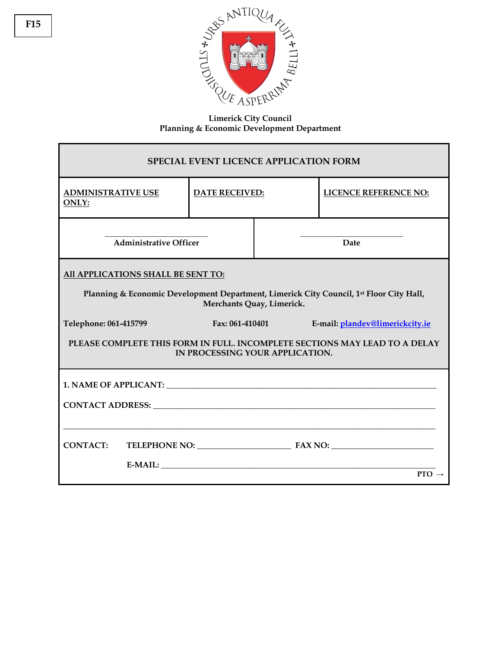

**Limerick City Council Planning & Economic Development Department** 

| <b>SPECIAL EVENT LICENCE APPLICATION FORM</b>                                                                        |                       |                   |                                 |  |
|----------------------------------------------------------------------------------------------------------------------|-----------------------|-------------------|---------------------------------|--|
| <b>ADMINISTRATIVE USE</b><br><b>ONLY:</b>                                                                            | <b>DATE RECEIVED:</b> |                   | <b>LICENCE REFERENCE NO:</b>    |  |
| <b>Administrative Officer</b>                                                                                        |                       | Date              |                                 |  |
| All APPLICATIONS SHALL BE SENT TO:                                                                                   |                       |                   |                                 |  |
| Planning & Economic Development Department, Limerick City Council, 1st Floor City Hall,<br>Merchants Quay, Limerick. |                       |                   |                                 |  |
| Telephone: 061-415799                                                                                                |                       | Fax: $061-410401$ | E-mail: plandev@limerickcity.ie |  |
| PLEASE COMPLETE THIS FORM IN FULL. INCOMPLETE SECTIONS MAY LEAD TO A DELAY<br>IN PROCESSING YOUR APPLICATION.        |                       |                   |                                 |  |
|                                                                                                                      |                       |                   |                                 |  |
| CONTACT ADDRESS: University of the CONTACT ADDRESS:                                                                  |                       |                   |                                 |  |
|                                                                                                                      |                       |                   |                                 |  |
| <b>CONTACT:</b>                                                                                                      |                       |                   |                                 |  |
|                                                                                                                      |                       |                   | $PTO \rightarrow$               |  |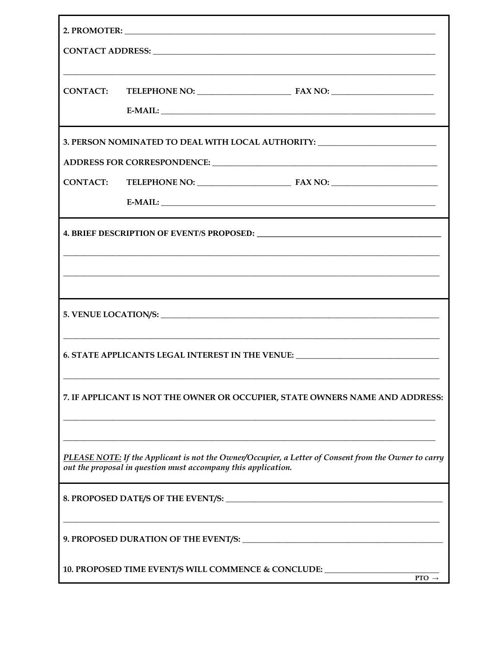| CONTACT:                                                                                                                                                                                                  |                                                                                                                                                                                                                               |  |  |
|-----------------------------------------------------------------------------------------------------------------------------------------------------------------------------------------------------------|-------------------------------------------------------------------------------------------------------------------------------------------------------------------------------------------------------------------------------|--|--|
|                                                                                                                                                                                                           |                                                                                                                                                                                                                               |  |  |
| 3. PERSON NOMINATED TO DEAL WITH LOCAL AUTHORITY: ______________________________                                                                                                                          |                                                                                                                                                                                                                               |  |  |
|                                                                                                                                                                                                           | ADDRESS FOR CORRESPONDENCE: University of the contract of the contract of the contract of the contract of the contract of the contract of the contract of the contract of the contract of the contract of the contract of the |  |  |
| <b>CONTACT:</b>                                                                                                                                                                                           |                                                                                                                                                                                                                               |  |  |
|                                                                                                                                                                                                           |                                                                                                                                                                                                                               |  |  |
|                                                                                                                                                                                                           |                                                                                                                                                                                                                               |  |  |
|                                                                                                                                                                                                           |                                                                                                                                                                                                                               |  |  |
|                                                                                                                                                                                                           | ,我们也不能在这里的时候,我们也不能在这里的时候,我们也不能会在这里的时候,我们也不能会在这里的时候,我们也不能会在这里的时候,我们也不能会在这里的时候,我们也不                                                                                                                                             |  |  |
|                                                                                                                                                                                                           |                                                                                                                                                                                                                               |  |  |
| <u> 1989 - Johann Harry Harry Harry Harry Harry Harry Harry Harry Harry Harry Harry Harry Harry Harry Harry Harry</u><br>6. STATE APPLICANTS LEGAL INTEREST IN THE VENUE: _______________________________ |                                                                                                                                                                                                                               |  |  |
| 7. IF APPLICANT IS NOT THE OWNER OR OCCUPIER, STATE OWNERS NAME AND ADDRESS:                                                                                                                              |                                                                                                                                                                                                                               |  |  |
|                                                                                                                                                                                                           |                                                                                                                                                                                                                               |  |  |
| PLEASE NOTE: If the Applicant is not the Owner/Occupier, a Letter of Consent from the Owner to carry<br>out the proposal in question must accompany this application.                                     |                                                                                                                                                                                                                               |  |  |
|                                                                                                                                                                                                           |                                                                                                                                                                                                                               |  |  |
|                                                                                                                                                                                                           |                                                                                                                                                                                                                               |  |  |
|                                                                                                                                                                                                           |                                                                                                                                                                                                                               |  |  |
| 10. PROPOSED TIME EVENT/S WILL COMMENCE & CONCLUDE: ____________________________<br>$PTO \rightarrow$                                                                                                     |                                                                                                                                                                                                                               |  |  |